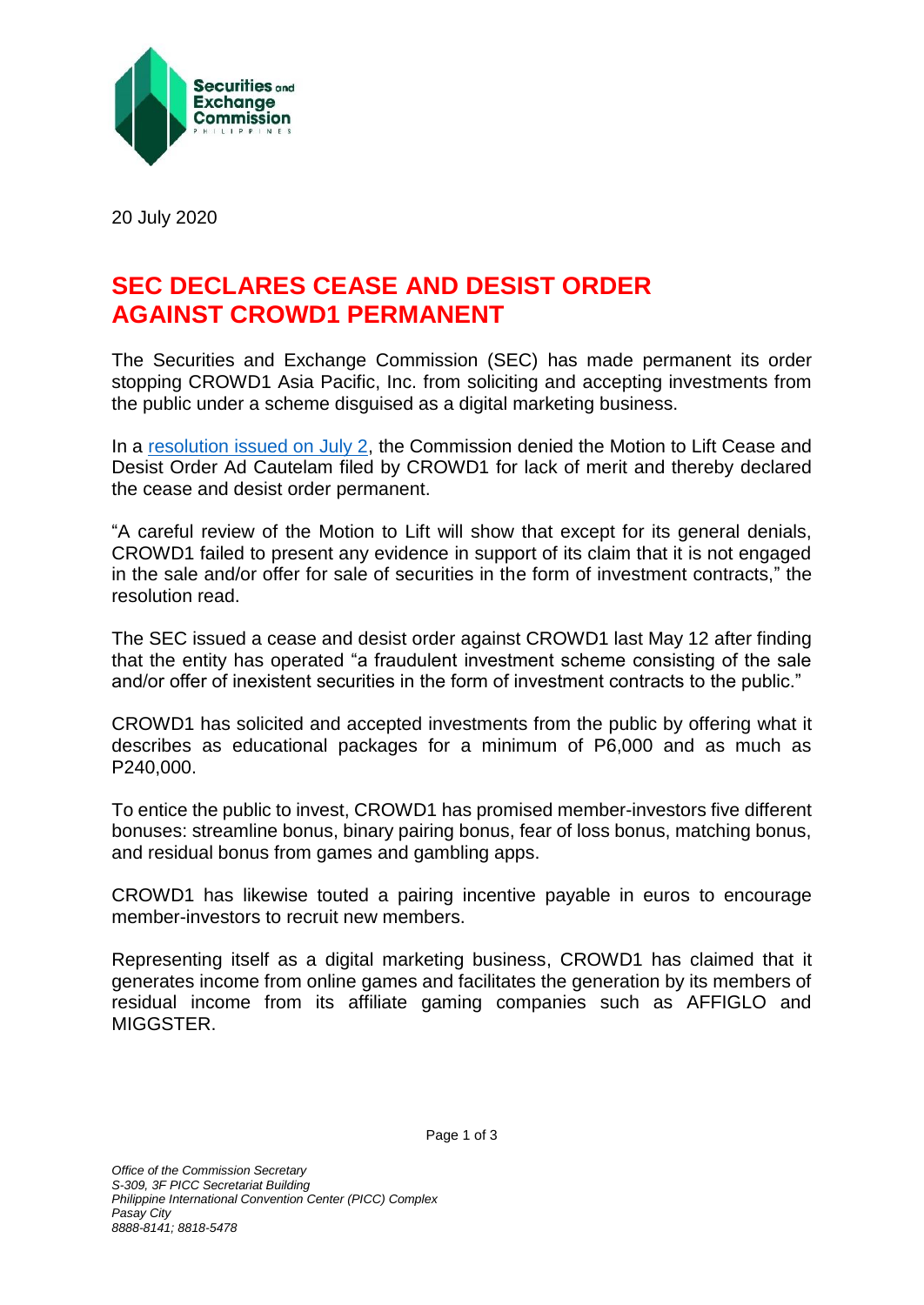

20 July 2020

## **SEC DECLARES CEASE AND DESIST ORDER AGAINST CROWD1 PERMANENT**

The Securities and Exchange Commission (SEC) has made permanent its order stopping CROWD1 Asia Pacific, Inc. from soliciting and accepting investments from the public under a scheme disguised as a digital marketing business.

In a [resolution issued on July 2,](http://www.sec.gov.ph/wp-content/uploads/2020/07/2020Resolution_CROWD1.pdf) the Commission denied the Motion to Lift Cease and Desist Order Ad Cautelam filed by CROWD1 for lack of merit and thereby declared the cease and desist order permanent.

"A careful review of the Motion to Lift will show that except for its general denials, CROWD1 failed to present any evidence in support of its claim that it is not engaged in the sale and/or offer for sale of securities in the form of investment contracts," the resolution read.

The SEC issued a cease and desist order against CROWD1 last May 12 after finding that the entity has operated "a fraudulent investment scheme consisting of the sale and/or offer of inexistent securities in the form of investment contracts to the public."

CROWD1 has solicited and accepted investments from the public by offering what it describes as educational packages for a minimum of P6,000 and as much as P240,000.

To entice the public to invest, CROWD1 has promised member-investors five different bonuses: streamline bonus, binary pairing bonus, fear of loss bonus, matching bonus, and residual bonus from games and gambling apps.

CROWD1 has likewise touted a pairing incentive payable in euros to encourage member-investors to recruit new members.

Representing itself as a digital marketing business, CROWD1 has claimed that it generates income from online games and facilitates the generation by its members of residual income from its affiliate gaming companies such as AFFIGLO and MIGGSTER.

Page 1 of 3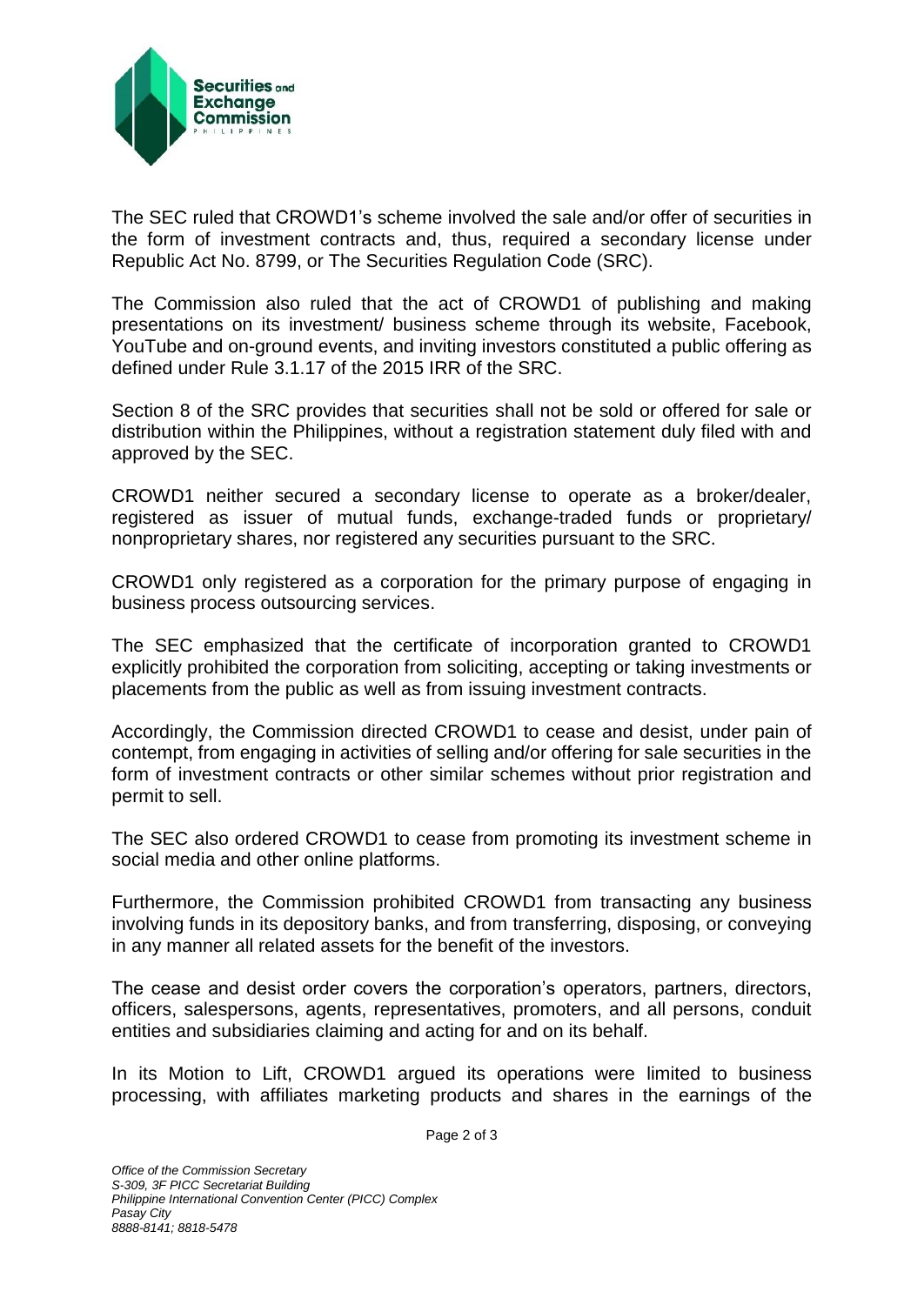

The SEC ruled that CROWD1's scheme involved the sale and/or offer of securities in the form of investment contracts and, thus, required a secondary license under Republic Act No. 8799, or The Securities Regulation Code (SRC).

The Commission also ruled that the act of CROWD1 of publishing and making presentations on its investment/ business scheme through its website, Facebook, YouTube and on-ground events, and inviting investors constituted a public offering as defined under Rule 3.1.17 of the 2015 IRR of the SRC.

Section 8 of the SRC provides that securities shall not be sold or offered for sale or distribution within the Philippines, without a registration statement duly filed with and approved by the SEC.

CROWD1 neither secured a secondary license to operate as a broker/dealer, registered as issuer of mutual funds, exchange-traded funds or proprietary/ nonproprietary shares, nor registered any securities pursuant to the SRC.

CROWD1 only registered as a corporation for the primary purpose of engaging in business process outsourcing services.

The SEC emphasized that the certificate of incorporation granted to CROWD1 explicitly prohibited the corporation from soliciting, accepting or taking investments or placements from the public as well as from issuing investment contracts.

Accordingly, the Commission directed CROWD1 to cease and desist, under pain of contempt, from engaging in activities of selling and/or offering for sale securities in the form of investment contracts or other similar schemes without prior registration and permit to sell.

The SEC also ordered CROWD1 to cease from promoting its investment scheme in social media and other online platforms.

Furthermore, the Commission prohibited CROWD1 from transacting any business involving funds in its depository banks, and from transferring, disposing, or conveying in any manner all related assets for the benefit of the investors.

The cease and desist order covers the corporation's operators, partners, directors, officers, salespersons, agents, representatives, promoters, and all persons, conduit entities and subsidiaries claiming and acting for and on its behalf.

In its Motion to Lift, CROWD1 argued its operations were limited to business processing, with affiliates marketing products and shares in the earnings of the

Page 2 of 3